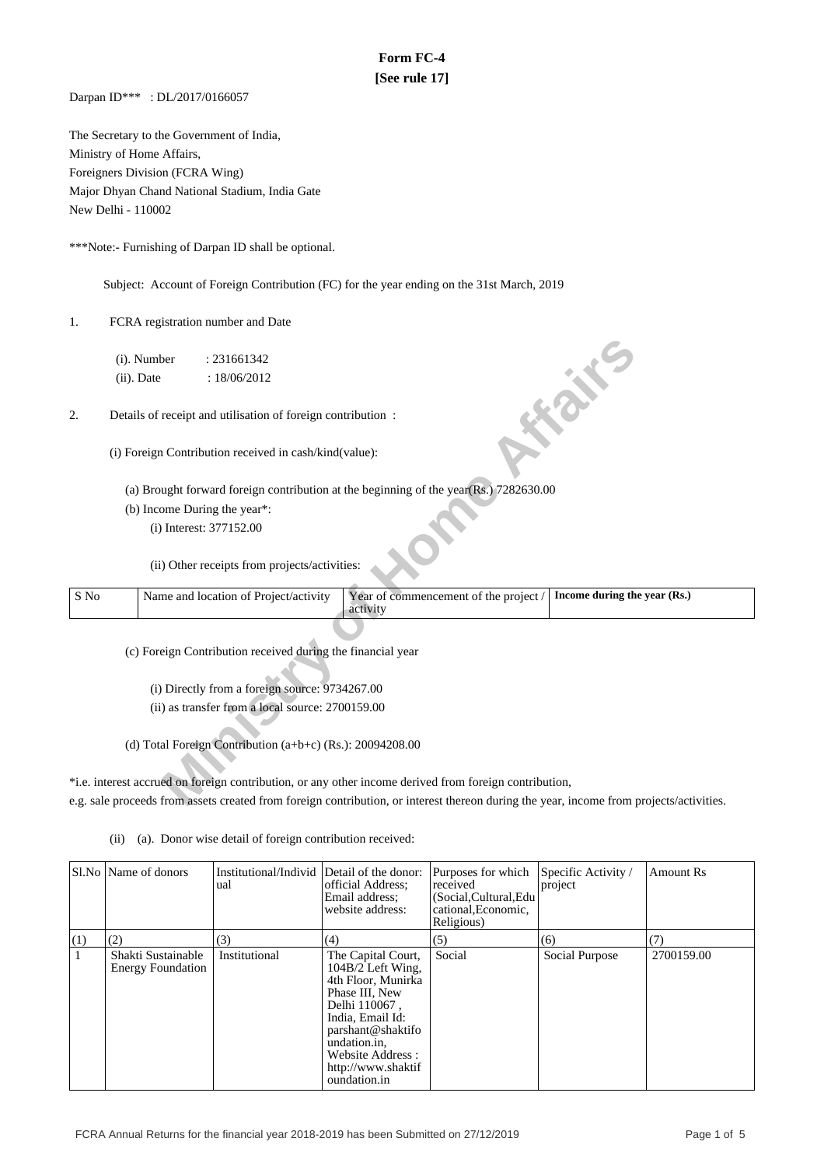# **Form FC-4 [See rule 17]**

Darpan ID\*\*\* : DL/2017/0166057

The Secretary to the Government of India, Ministry of Home Affairs, Foreigners Division (FCRA Wing) Major Dhyan Chand National Stadium, India Gate New Delhi - 110002

\*\*\*Note:- Furnishing of Darpan ID shall be optional.

Subject: Account of Foreign Contribution (FC) for the year ending on the 31st March, 2019

1. FCRA registration number and Date

|      | (i). Number   | : 231661342                                                 |                                                                                                                                         |                              |
|------|---------------|-------------------------------------------------------------|-----------------------------------------------------------------------------------------------------------------------------------------|------------------------------|
|      | $(ii)$ . Date | : 18/06/2012                                                |                                                                                                                                         |                              |
|      |               |                                                             |                                                                                                                                         | <b>FORE</b>                  |
| 2.   |               | Details of receipt and utilisation of foreign contribution: |                                                                                                                                         |                              |
|      |               |                                                             |                                                                                                                                         |                              |
|      |               | (i) Foreign Contribution received in cash/kind(value):      |                                                                                                                                         |                              |
|      |               |                                                             |                                                                                                                                         |                              |
|      |               |                                                             | (a) Brought forward foreign contribution at the beginning of the year(Rs.) 7282630.00                                                   |                              |
|      |               | (b) Income During the year*:                                |                                                                                                                                         |                              |
|      |               | (i) Interest: 377152.00                                     |                                                                                                                                         |                              |
|      |               |                                                             |                                                                                                                                         |                              |
|      |               | (ii) Other receipts from projects/activities:               |                                                                                                                                         |                              |
|      |               |                                                             |                                                                                                                                         |                              |
| S No |               | Name and location of Project/activity                       | Year of commencement of the project /<br>activity                                                                                       | Income during the year (Rs.) |
|      |               |                                                             |                                                                                                                                         |                              |
|      |               | (c) Foreign Contribution received during the financial year |                                                                                                                                         |                              |
|      |               |                                                             |                                                                                                                                         |                              |
|      |               | (i) Directly from a foreign source: 9734267.00              |                                                                                                                                         |                              |
|      |               | (ii) as transfer from a local source: 2700159.00            |                                                                                                                                         |                              |
|      |               |                                                             |                                                                                                                                         |                              |
|      |               | (d) Total Foreign Contribution $(a+b+c)$ (Rs.): 20094208.00 |                                                                                                                                         |                              |
|      |               |                                                             |                                                                                                                                         |                              |
|      |               |                                                             | *i.e. interest accrued on foreign contribution, or any other income derived from foreign contribution,                                  |                              |
|      |               |                                                             | e.g. sale proceeds from assets created from foreign contribution, or interest thereon during the year, income from projects/activities. |                              |
|      |               |                                                             |                                                                                                                                         |                              |

\*i.e. interest accrued on foreign contribution, or any other income derived from foreign contribution, e.g. sale proceeds from assets created from foreign contribution, or interest thereon during the year, income from projects/activities.

(ii) (a). Donor wise detail of foreign contribution received:

|     | Sl.No   Name of donors                         | Institutional/Individ Detail of the donor:<br>ual | official Address:<br>Email address:<br>website address:                                                                                                                                                             | Purposes for which<br>received<br>(Social, Cultural, Edu<br>cational, Economic,<br>Religious) | Specific Activity /<br>project | Amount Rs  |
|-----|------------------------------------------------|---------------------------------------------------|---------------------------------------------------------------------------------------------------------------------------------------------------------------------------------------------------------------------|-----------------------------------------------------------------------------------------------|--------------------------------|------------|
| (1) | (2)                                            | (3)                                               | (4)                                                                                                                                                                                                                 | (5)                                                                                           | (6)                            | (7)        |
|     | Shakti Sustainable<br><b>Energy Foundation</b> | Institutional                                     | The Capital Court,<br>104B/2 Left Wing,<br>4th Floor, Munirka<br>Phase III, New<br>Delhi 110067,<br>India, Email Id:<br>parshant@shaktifo<br>undation.in,<br>Website Address:<br>http://www.shaktif<br>oundation.in | Social                                                                                        | Social Purpose                 | 2700159.00 |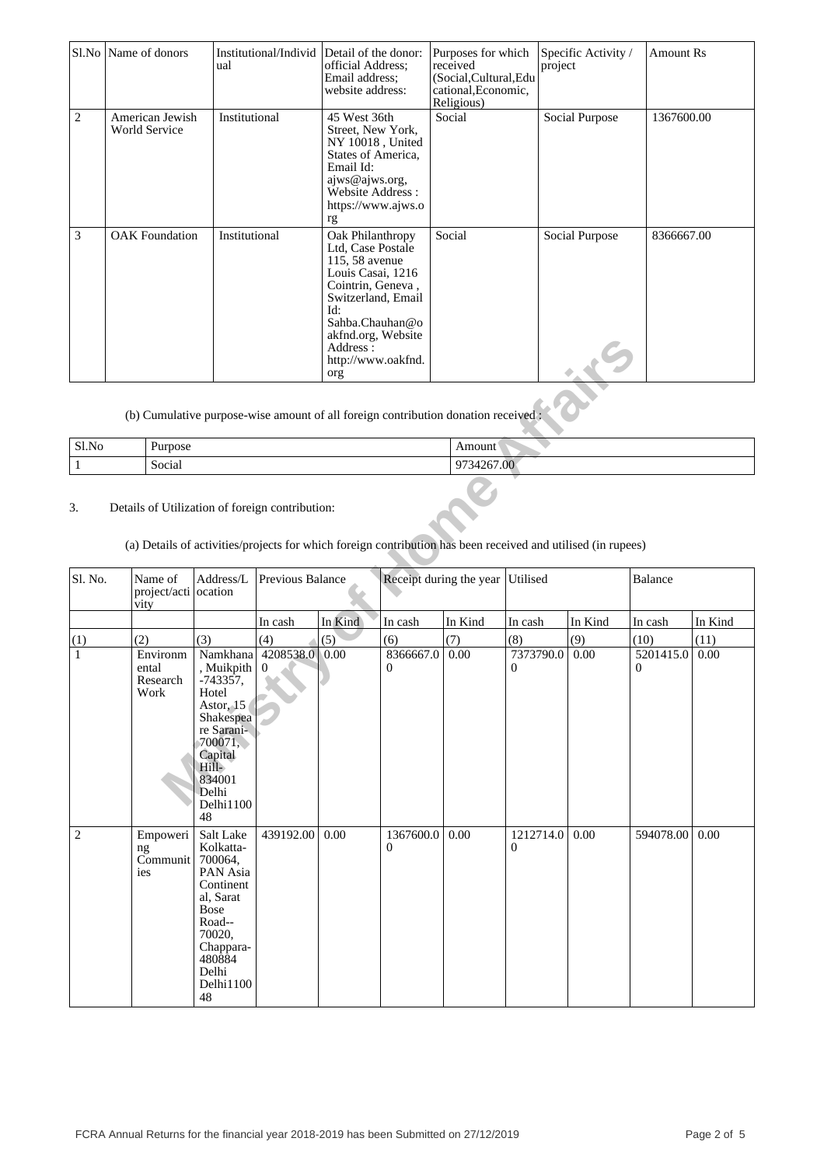| $S1$ . No | Name of donors                          | Institutional/Individ<br>ual | Detail of the donor:<br>official Address;<br>Email address:<br>website address:                                                                                                                                  | Purposes for which<br>received<br>(Social, Cultural, Edu<br>cational, Economic,<br>Religious) | Specific Activity /<br>project | <b>Amount Rs</b> |
|-----------|-----------------------------------------|------------------------------|------------------------------------------------------------------------------------------------------------------------------------------------------------------------------------------------------------------|-----------------------------------------------------------------------------------------------|--------------------------------|------------------|
| 2         | American Jewish<br><b>World Service</b> | Institutional                | 45 West 36th<br>Street, New York,<br>NY 10018, United<br>States of America,<br>Email Id:<br>ajws@ajws.org,<br>Website Address:<br>https://www.ajws.o<br>rg                                                       | Social                                                                                        | Social Purpose                 | 1367600.00       |
| 3         | <b>OAK</b> Foundation                   | Institutional                | Oak Philanthropy<br>Ltd, Case Postale<br>115, 58 avenue<br>Louis Casai, 1216<br>Cointrin, Geneva,<br>Switzerland, Email<br>Id:<br>Sahba.Chauhan@o<br>akfnd.org, Website<br>Address:<br>http://www.oakfnd.<br>org | Social                                                                                        | Social Purpose                 | 8366667.00       |

| Sl.No | <b>Purpose</b> | noun<br>н                           |
|-------|----------------|-------------------------------------|
|       | .<br>Social    | $\sim$<br>.267.00<br>$\sim$ $ \sim$ |

# 3. Details of Utilization of foreign contribution:

|                |                                                                                                                                                                 |                                                                                                                                                               |                       | $\mu$ .u.u. $\mu$ .<br>Address:<br>http://www.oakfnd.<br>org | $\mathbf{v}$ cosing |                                  |                             |         |                |         |
|----------------|-----------------------------------------------------------------------------------------------------------------------------------------------------------------|---------------------------------------------------------------------------------------------------------------------------------------------------------------|-----------------------|--------------------------------------------------------------|---------------------|----------------------------------|-----------------------------|---------|----------------|---------|
|                | (b) Cumulative purpose-wise amount of all foreign contribution donation received :                                                                              |                                                                                                                                                               |                       |                                                              |                     |                                  |                             |         |                |         |
| Sl.No          | Purpose                                                                                                                                                         |                                                                                                                                                               |                       |                                                              |                     | Amount                           |                             |         |                |         |
| $\mathbf{1}$   | Social                                                                                                                                                          |                                                                                                                                                               |                       |                                                              |                     | 9734267.00                       |                             |         |                |         |
| 3.             | Details of Utilization of foreign contribution:<br>(a) Details of activities/projects for which foreign contribution has been received and utilised (in rupees) |                                                                                                                                                               |                       |                                                              |                     |                                  |                             |         |                |         |
| Sl. No.        | Name of<br>project/acti ocation<br>vity                                                                                                                         | $\mathbf{Address}/\mathbf{L}$                                                                                                                                 | Previous Balance      |                                                              |                     | Receipt during the year Utilised |                             |         | <b>Balance</b> |         |
|                |                                                                                                                                                                 |                                                                                                                                                               | In cash               | In Kind                                                      | In cash             | In Kind                          | In cash                     | In Kind | In cash        | In Kind |
| (1)            | (2)                                                                                                                                                             | (3)                                                                                                                                                           | (4)                   | (5)                                                          | (6)                 | (7)                              | (8)                         | (9)     | (10)           | (11)    |
| $\mathbf{1}$   | Environm<br>ental<br>Research<br>Work                                                                                                                           | Namkhana<br>, Muikpith<br>$-743357,$<br>Hotel<br>Astor, 15<br>Shakespea<br>re Sarani-<br>700071,<br>Capital<br>Hill-<br>834001<br>Delhi<br>Delhi1100<br>48    | 4208538.0<br>$\theta$ | 0.00                                                         | 8366667.0<br>0      | 0.00                             | 7373790.0<br>$\overline{0}$ | 0.00    | 5201415.0<br>0 | 0.00    |
| $\overline{c}$ | Empoweri<br>ng<br>Communit<br>ies                                                                                                                               | Salt Lake<br>Kolkatta-<br>700064,<br>PAN Asia<br>Continent<br>al, Sarat<br><b>Bose</b><br>Road--<br>70020,<br>Chappara-<br>480884<br>Delhi<br>Delhi1100<br>48 | 439192.00             | 0.00                                                         | 1367600.0<br>0      | 0.00                             | 1212714.0<br>0              | 0.00    | 594078.00      | 0.00    |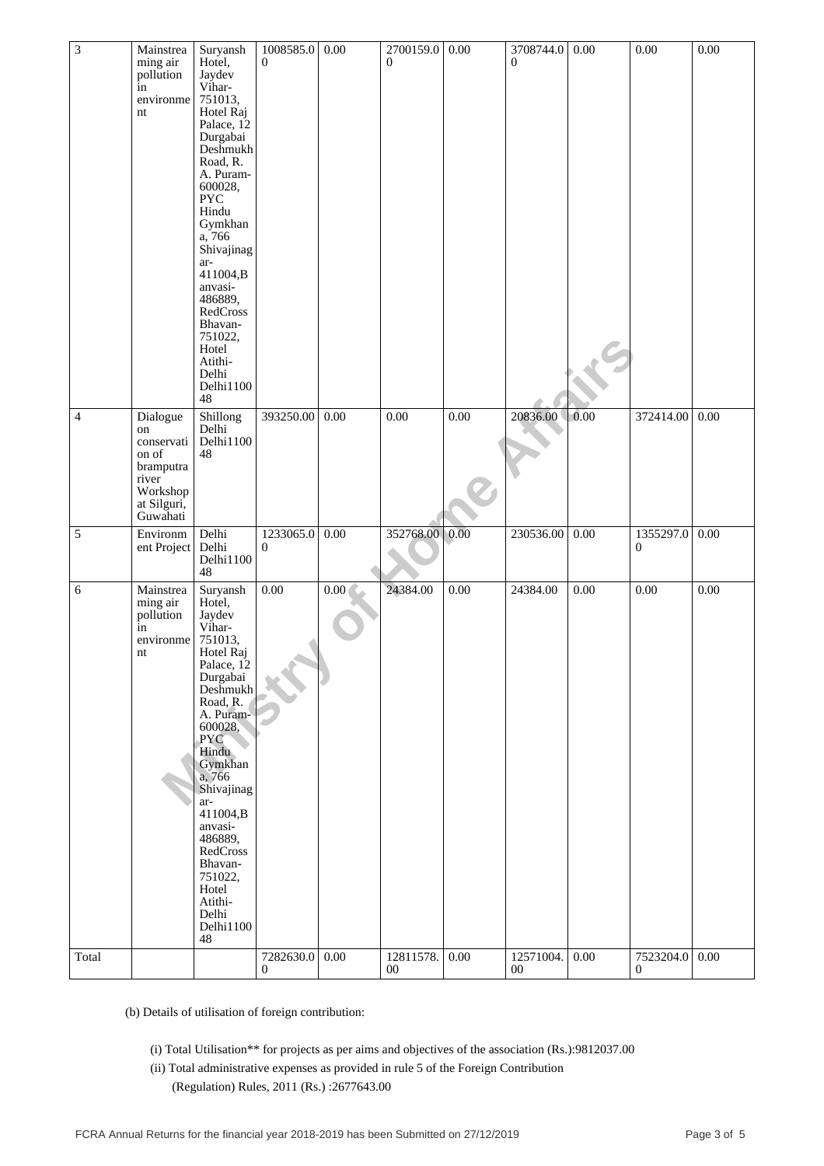| $\overline{3}$ | Mainstrea<br>ming air<br>pollution<br>in<br>environme<br>nt                                        | Suryansh<br>Hotel,<br>Jaydev<br>Vihar-<br>751013,<br>Hotel Raj<br>Palace, 12<br>Durgabai<br>Deshmukh<br>Road, R.<br>A. Puram-<br>600028,<br><b>PYC</b><br>Hindu<br>Gymkhan<br>a, 766<br>Shivajinag<br>ar-<br>411004,B<br>anvasi-<br>486889,<br>RedCross<br>Bhavan-<br>751022,<br>Hotel<br>Atithi-<br>Delhi<br>Delhi1100<br>48 | 1008585.0<br>$\theta$     | $0.00\,$ | 2700159.0<br>$\overline{0}$ | $0.00\,$ | 3708744.0<br>$\Omega$ | 0.00                                                                                                | 0.00                      | 0.00 |
|----------------|----------------------------------------------------------------------------------------------------|-------------------------------------------------------------------------------------------------------------------------------------------------------------------------------------------------------------------------------------------------------------------------------------------------------------------------------|---------------------------|----------|-----------------------------|----------|-----------------------|-----------------------------------------------------------------------------------------------------|---------------------------|------|
| $\overline{4}$ | Dialogue<br>on<br>conservati<br>on of<br>bramputra<br>river<br>Workshop<br>at Silguri,<br>Guwahati | Shillong<br>Delhi<br>Delhi1100<br>48                                                                                                                                                                                                                                                                                          | 393250.00                 | 0.00     | 0.00                        | 0.00     | 20836.00              | 0.00                                                                                                | 372414.00                 | 0.00 |
| 5              | Environm<br>ent Project                                                                            | Delhi<br>Delhi<br>Delhi1100<br>48                                                                                                                                                                                                                                                                                             | 1233065.0<br>$\mathbf{0}$ | $0.00\,$ | 352768.00 0.00              |          | 230536.00             | 0.00                                                                                                | 1355297.0<br>$\mathbf{0}$ | 0.00 |
| $\sqrt{6}$     | Mainstrea<br>ming air<br>pollution<br>in<br>environme<br>nt                                        | Suryansh<br>Hotel,<br>Jaydev<br>Vihar-<br>751013,<br>Hotel Raj<br>Palace, 12<br>Durgabai<br>Deshmukh<br>Road, R.<br>A. Puram-<br>600028,<br><b>PYC</b><br>Hindu<br>Gymkhan<br>a, 766<br>Shivajinag<br>ar-<br>411004,B<br>anvasi-<br>486889,<br>RedCross<br>Bhavan-<br>751022,<br>Hotel<br>Atithi-<br>Delhi<br>Delhi1100<br>48 | $0.00\,$                  | $0.00\,$ | 24384.00                    | 0.00     | 24384.00              | 0.00                                                                                                | 0.00                      | 0.00 |
| Total          |                                                                                                    |                                                                                                                                                                                                                                                                                                                               | 7282630.0<br>$\Omega$     | 0.00     | 12811578.<br>$00\,$         | 0.00     | 12571004.<br>$00\,$   | $0.00\,$                                                                                            | 7523204.0<br>$\theta$     | 0.00 |
|                | (b) Details of utilisation of foreign contribution:                                                | (ii) Total administrative expenses as provided in rule 5 of the Foreign Contribution<br>(Regulation) Rules, 2011 (Rs.):2677643.00                                                                                                                                                                                             |                           |          |                             |          |                       | (i) Total Utilisation** for projects as per aims and objectives of the association (Rs.):9812037.00 |                           |      |

- (i) Total Utilisation\*\* for projects as per aims and objectives of the association (Rs.):9812037.00
- (ii) Total administrative expenses as provided in rule 5 of the Foreign Contribution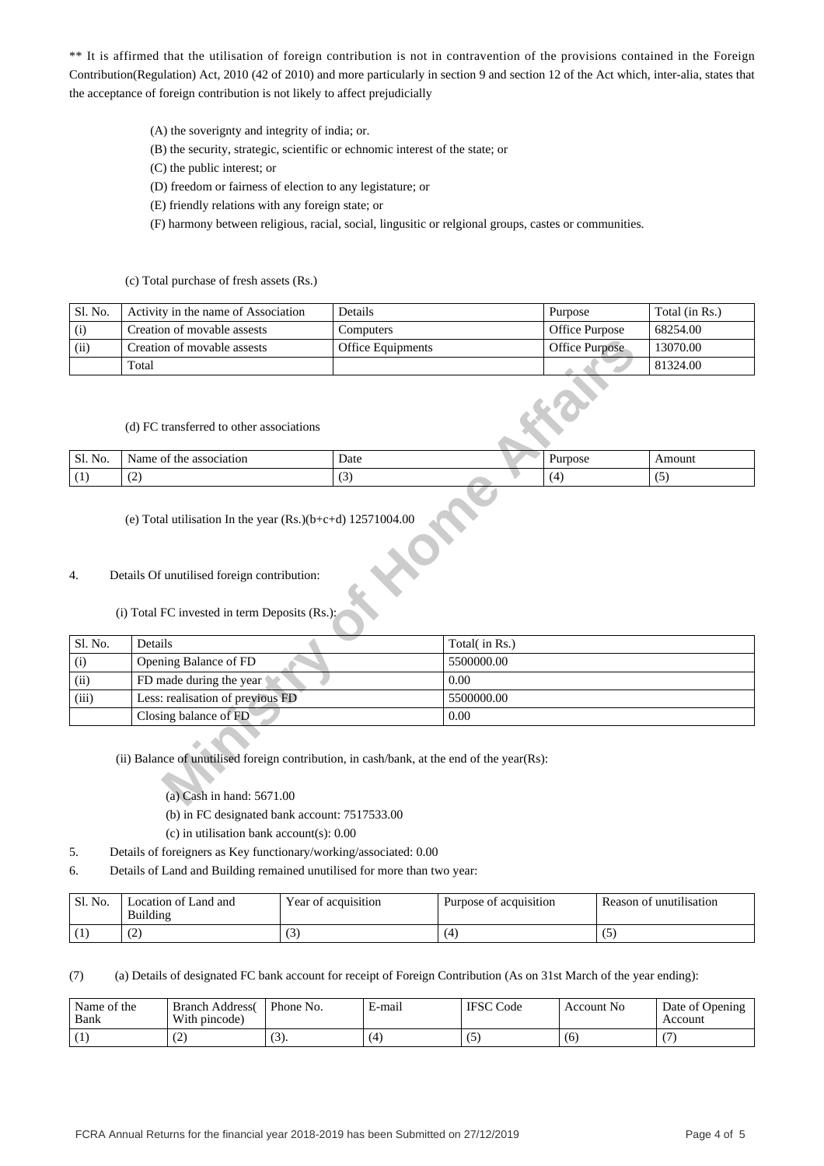\*\* It is affirmed that the utilisation of foreign contribution is not in contravention of the provisions contained in the Foreign Contribution(Regulation) Act, 2010 (42 of 2010) and more particularly in section 9 and section 12 of the Act which, inter-alia, states that the acceptance of foreign contribution is not likely to affect prejudicially

- (A) the soverignty and integrity of india; or.
- (B) the security, strategic, scientific or echnomic interest of the state; or
- (C) the public interest; or
- (D) freedom or fairness of election to any legistature; or
- (E) friendly relations with any foreign state; or

(F) harmony between religious, racial, social, lingusitic or relgional groups, castes or communities.

(c) Total purchase of fresh assets (Rs.)

| Sl. No. | Activity in the name of Association | Details                  | Purpose        | Total (in Rs.) |
|---------|-------------------------------------|--------------------------|----------------|----------------|
| (i)     | Creation of movable assests         | Computers                | Office Purpose | 68254.00       |
| (ii)    | Creation of movable assests         | <b>Office Equipments</b> | Office Purpose | 13070.00       |
|         | Total                               |                          |                | 81324.00       |

### (d) FC transferred to other associations

|         | 1 vui                                    |                |    |         | 0132700 |
|---------|------------------------------------------|----------------|----|---------|---------|
|         | (d) FC transferred to other associations |                |    |         |         |
| Sl. No. | Name of the association                  | Date           |    | Purpose | Amount  |
|         | (2)                                      | $\mathfrak{S}$ |    | (4)     | U       |
|         |                                          |                | __ |         |         |

# (e) Total utilisation In the year (Rs.)(b+c+d) 12571004.00<br>tails Of unutilised foreign context

# 4. Details Of unutilised foreign contribution:

# (i) Total FC invested in term Deposits (Rs.):

| (ii)    | Creation of movable assests                                                                                                                                  | Office Equipments | Office Purpose | 13070.00 |  |  |  |  |  |
|---------|--------------------------------------------------------------------------------------------------------------------------------------------------------------|-------------------|----------------|----------|--|--|--|--|--|
|         | Total                                                                                                                                                        |                   |                | 81324.00 |  |  |  |  |  |
|         | (d) FC transferred to other associations                                                                                                                     |                   |                |          |  |  |  |  |  |
| Sl. No. | Name of the association                                                                                                                                      | Date              | Purpose        | Amount   |  |  |  |  |  |
| (1)     | (2)                                                                                                                                                          | (3)               | (4)            | (5)      |  |  |  |  |  |
| 4.      | (e) Total utilisation In the year $(Rs.)(b+c+d)$ 12571004.00<br>Details Of unutilised foreign contribution:<br>(i) Total FC invested in term Deposits (Rs.): |                   |                |          |  |  |  |  |  |
| Sl. No. | Details                                                                                                                                                      | Total(in Rs.)     |                |          |  |  |  |  |  |
| (i)     | Opening Balance of FD                                                                                                                                        | 5500000.00        |                |          |  |  |  |  |  |
| (ii)    | FD made during the year                                                                                                                                      | 0.00              |                |          |  |  |  |  |  |
| (iii)   | Less: realisation of previous FD                                                                                                                             | 5500000.00        |                |          |  |  |  |  |  |
|         | Closing balance of FD                                                                                                                                        | 0.00              |                |          |  |  |  |  |  |
|         | (ii) Balance of unutilised foreign contribution, in cash/bank, at the end of the year(Rs):<br>(a) Cash in hand: 5671.00                                      |                   |                |          |  |  |  |  |  |

## (ii) Balance of unutilised foreign contribution, in cash/bank, at the end of the year(Rs):

(b) in FC designated bank account: 7517533.00

(c) in utilisation bank account(s): 0.00

- 5. Details of foreigners as Key functionary/working/associated: 0.00
- 6. Details of Land and Building remained unutilised for more than two year:

| Sl. No. | ocation of .<br>Land and<br>Building | Year of<br>acquisition | Purpose of acquisition | Reason of unutilisation |
|---------|--------------------------------------|------------------------|------------------------|-------------------------|
|         | ∼                                    | 12.                    |                        | $\sim$                  |

(7) (a) Details of designated FC bank account for receipt of Foreign Contribution (As on 31st March of the year ending):

| Name of the<br>Bank | <b>Branch Address</b><br>With pincode) | Phone No. | E-mail | <b>IFSC</b><br>Code | Account No. | Date of Opening<br>Account |
|---------------------|----------------------------------------|-----------|--------|---------------------|-------------|----------------------------|
|                     | ∖∸,                                    | (J).      | (4     | い                   | (6          |                            |